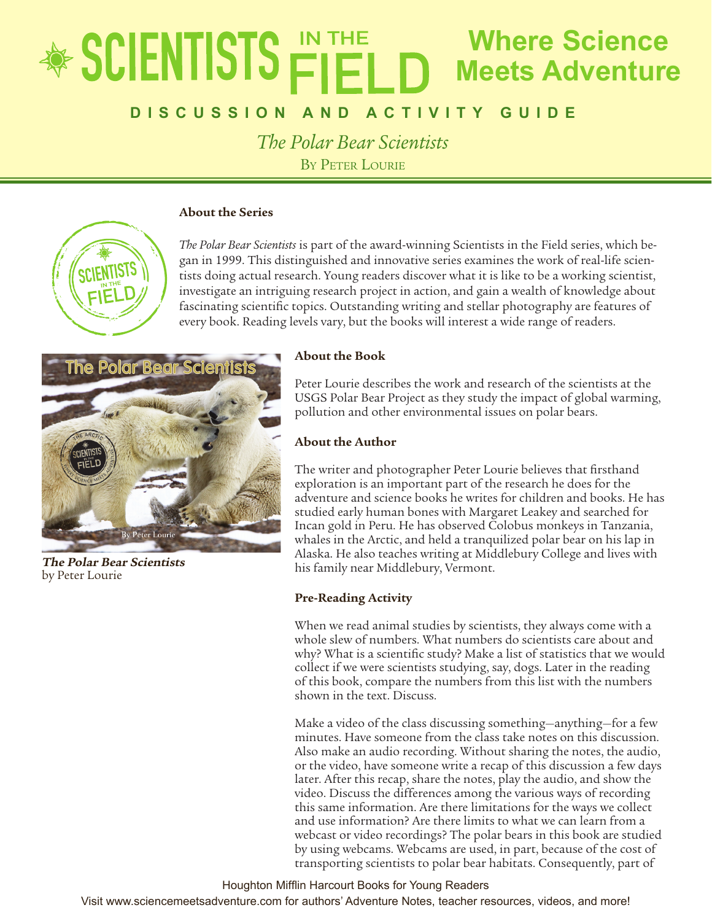# **Where Science** \* SCIENTISTS **Meets Adventure**

## **D i s c u ss ion a n d a ctivity Gui d e**

*The Polar Bear Scientists* BY PETER LOURIE

## **About the Series**



*The Polar Bear Scientists* is part of the award-winning Scientists in the Field series, which began in 1999. This distinguished and innovative series examines the work of real-life scientists doing actual research. Young readers discover what it is like to be a working scientist, investigate an intriguing research project in action, and gain a wealth of knowledge about fascinating scientific topics. Outstanding writing and stellar photography are features of every book. Reading levels vary, but the books will interest a wide range of readers.



**The Polar Bear Scientists** by Peter Lourie

## **About the Book**

Peter Lourie describes the work and research of the scientists at the USGS Polar Bear Project as they study the impact of global warming, pollution and other environmental issues on polar bears.

## **About the Author**

The writer and photographer Peter Lourie believes that firsthand exploration is an important part of the research he does for the adventure and science books he writes for children and books. He has studied early human bones with Margaret Leakey and searched for Incan gold in Peru. He has observed Colobus monkeys in Tanzania, whales in the Arctic, and held a tranquilized polar bear on his lap in Alaska. He also teaches writing at Middlebury College and lives with his family near Middlebury, Vermont.

## **Pre-Reading Activity**

When we read animal studies by scientists, they always come with a whole slew of numbers. What numbers do scientists care about and why? What is a scientific study? Make a list of statistics that we would collect if we were scientists studying, say, dogs. Later in the reading of this book, compare the numbers from this list with the numbers shown in the text. Discuss.

Make a video of the class discussing something—anything—for a few minutes. Have someone from the class take notes on this discussion. Also make an audio recording. Without sharing the notes, the audio, or the video, have someone write a recap of this discussion a few days later. After this recap, share the notes, play the audio, and show the video. Discuss the differences among the various ways of recording this same information. Are there limitations for the ways we collect and use information? Are there limits to what we can learn from a webcast or video recordings? The polar bears in this book are studied by using webcams. Webcams are used, in part, because of the cost of transporting scientists to polar bear habitats. Consequently, part of

### Houghton Mifflin Harcourt Books for Young Readers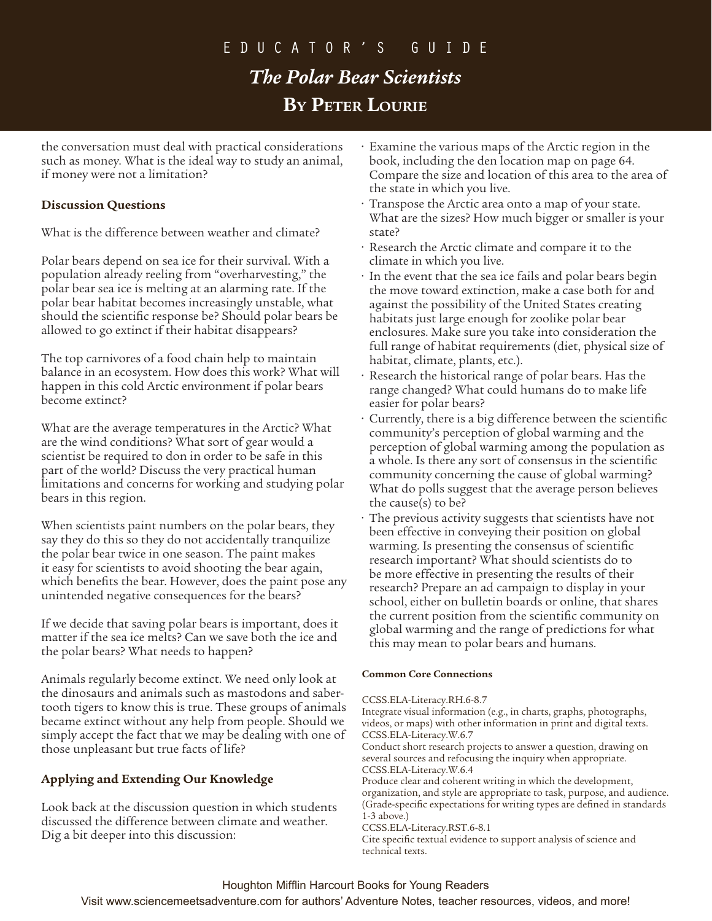# educator's Guide *The Polar Bear Scientists* **By Peter Lourie**

the conversation must deal with practical considerations such as money. What is the ideal way to study an animal, if money were not a limitation?

## **Discussion Questions**

What is the difference between weather and climate?

Polar bears depend on sea ice for their survival. With a population already reeling from "overharvesting," the polar bear sea ice is melting at an alarming rate. If the polar bear habitat becomes increasingly unstable, what should the scientific response be? Should polar bears be allowed to go extinct if their habitat disappears?

The top carnivores of a food chain help to maintain balance in an ecosystem. How does this work? What will happen in this cold Arctic environment if polar bears become extinct?

What are the average temperatures in the Arctic? What are the wind conditions? What sort of gear would a scientist be required to don in order to be safe in this part of the world? Discuss the very practical human limitations and concerns for working and studying polar bears in this region.

When scientists paint numbers on the polar bears, they say they do this so they do not accidentally tranquilize the polar bear twice in one season. The paint makes it easy for scientists to avoid shooting the bear again, which benefits the bear. However, does the paint pose any unintended negative consequences for the bears?

If we decide that saving polar bears is important, does it matter if the sea ice melts? Can we save both the ice and the polar bears? What needs to happen?

Animals regularly become extinct. We need only look at the dinosaurs and animals such as mastodons and sabertooth tigers to know this is true. These groups of animals became extinct without any help from people. Should we simply accept the fact that we may be dealing with one of those unpleasant but true facts of life?

## **Applying and Extending Our Knowledge**

Look back at the discussion question in which students discussed the difference between climate and weather. Dig a bit deeper into this discussion:

- Examine the various maps of the Arctic region in the book, including the den location map on page 64. Compare the size and location of this area to the area of the state in which you live.
- Transpose the Arctic area onto a map of your state. What are the sizes? How much bigger or smaller is your state?
- Research the Arctic climate and compare it to the climate in which you live.
- In the event that the sea ice fails and polar bears begin the move toward extinction, make a case both for and against the possibility of the United States creating habitats just large enough for zoolike polar bear enclosures. Make sure you take into consideration the full range of habitat requirements (diet, physical size of habitat, climate, plants, etc.).
- Research the historical range of polar bears. Has the range changed? What could humans do to make life easier for polar bears?
- Currently, there is a big difference between the scientific community's perception of global warming and the perception of global warming among the population as a whole. Is there any sort of consensus in the scientific community concerning the cause of global warming? What do polls suggest that the average person believes the cause(s) to be?
- The previous activity suggests that scientists have not been effective in conveying their position on global warming. Is presenting the consensus of scientific research important? What should scientists do to be more effective in presenting the results of their research? Prepare an ad campaign to display in your school, either on bulletin boards or online, that shares the current position from the scientific community on global warming and the range of predictions for what this may mean to polar bears and humans.

## **Common Core Connections**

## CCSS.ELA-Literacy.RH.6-8.7

Integrate visual information (e.g., in charts, graphs, photographs, videos, or maps) with other information in print and digital texts. CCSS.ELA-Literacy.W.6.7

Conduct short research projects to answer a question, drawing on several sources and refocusing the inquiry when appropriate. CCSS.ELA-Literacy.W.6.4

Produce clear and coherent writing in which the development, organization, and style are appropriate to task, purpose, and audience. (Grade-specific expectations for writing types are defined in standards 1-3 above.)

CCSS.ELA-Literacy.RST.6-8.1

Cite specific textual evidence to support analysis of science and technical texts.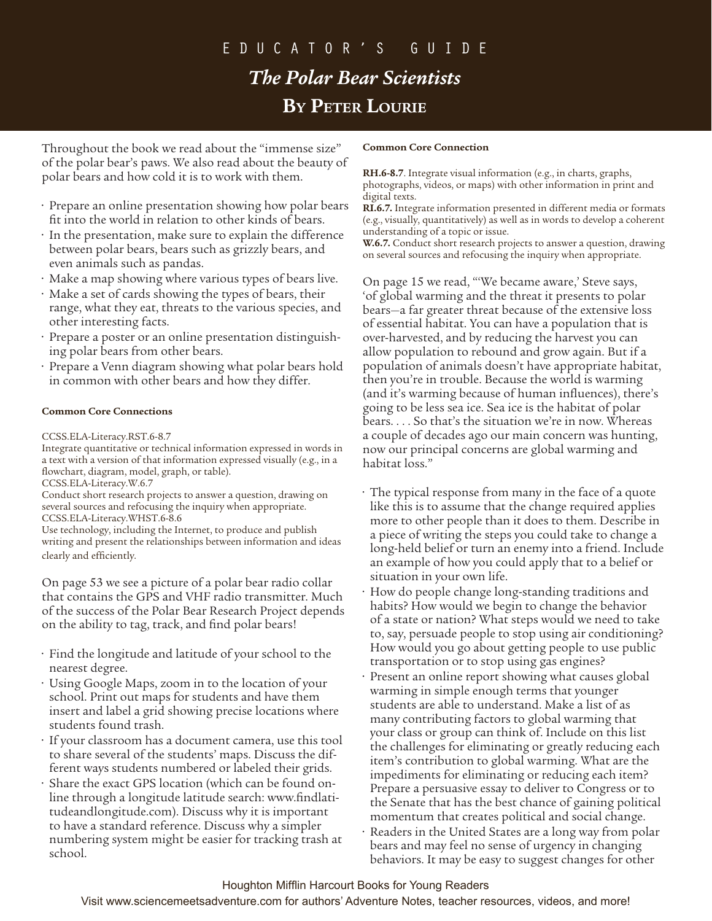# educator's Guide *The Polar Bear Scientists* **By Peter Lourie**

Throughout the book we read about the "immense size" of the polar bear's paws. We also read about the beauty of polar bears and how cold it is to work with them.

- Prepare an online presentation showing how polar bears fit into the world in relation to other kinds of bears.
- In the presentation, make sure to explain the difference between polar bears, bears such as grizzly bears, and even animals such as pandas.
- Make a map showing where various types of bears live.
- Make a set of cards showing the types of bears, their range, what they eat, threats to the various species, and other interesting facts.
- Prepare a poster or an online presentation distinguishing polar bears from other bears.
- Prepare a Venn diagram showing what polar bears hold in common with other bears and how they differ.

### **Common Core Connections**

CCSS.ELA-Literacy.RST.6-8.7

Integrate quantitative or technical information expressed in words in a text with a version of that information expressed visually (e.g., in a flowchart, diagram, model, graph, or table).

CCSS.ELA-Literacy.W.6.7

Conduct short research projects to answer a question, drawing on several sources and refocusing the inquiry when appropriate. CCSS.ELA-Literacy.WHST.6-8.6

Use technology, including the Internet, to produce and publish writing and present the relationships between information and ideas clearly and efficiently.

On page 53 we see a picture of a polar bear radio collar that contains the GPS and VHF radio transmitter. Much of the success of the Polar Bear Research Project depends on the ability to tag, track, and find polar bears!

- Find the longitude and latitude of your school to the nearest degree.
- Using Google Maps, zoom in to the location of your school. Print out maps for students and have them insert and label a grid showing precise locations where students found trash.
- If your classroom has a document camera, use this tool to share several of the students' maps. Discuss the different ways students numbered or labeled their grids.
- Share the exact GPS location (which can be found online through a longitude latitude search: www.findlatitudeandlongitude.com). Discuss why it is important to have a standard reference. Discuss why a simpler numbering system might be easier for tracking trash at school.

#### **Common Core Connection**

**RH.6-8.7**. Integrate visual information (e.g., in charts, graphs, photographs, videos, or maps) with other information in print and digital texts.

**RI.6.7.** Integrate information presented in different media or formats (e.g., visually, quantitatively) as well as in words to develop a coherent understanding of a topic or issue.

**W.6.7.** Conduct short research projects to answer a question, drawing on several sources and refocusing the inquiry when appropriate.

On page 15 we read, "'We became aware,' Steve says, 'of global warming and the threat it presents to polar bears—a far greater threat because of the extensive loss of essential habitat. You can have a population that is over-harvested, and by reducing the harvest you can allow population to rebound and grow again. But if a population of animals doesn't have appropriate habitat, then you're in trouble. Because the world is warming (and it's warming because of human influences), there's going to be less sea ice. Sea ice is the habitat of polar bears. . . . So that's the situation we're in now. Whereas a couple of decades ago our main concern was hunting, now our principal concerns are global warming and habitat loss.''

- The typical response from many in the face of a quote like this is to assume that the change required applies more to other people than it does to them. Describe in a piece of writing the steps you could take to change a long-held belief or turn an enemy into a friend. Include an example of how you could apply that to a belief or situation in your own life.
- How do people change long-standing traditions and habits? How would we begin to change the behavior of a state or nation? What steps would we need to take to, say, persuade people to stop using air conditioning? How would you go about getting people to use public transportation or to stop using gas engines?
- Present an online report showing what causes global warming in simple enough terms that younger students are able to understand. Make a list of as many contributing factors to global warming that your class or group can think of. Include on this list the challenges for eliminating or greatly reducing each item's contribution to global warming. What are the impediments for eliminating or reducing each item? Prepare a persuasive essay to deliver to Congress or to the Senate that has the best chance of gaining political momentum that creates political and social change.
- Readers in the United States are a long way from polar bears and may feel no sense of urgency in changing behaviors. It may be easy to suggest changes for other

## Houghton Mifflin Harcourt Books for Young Readers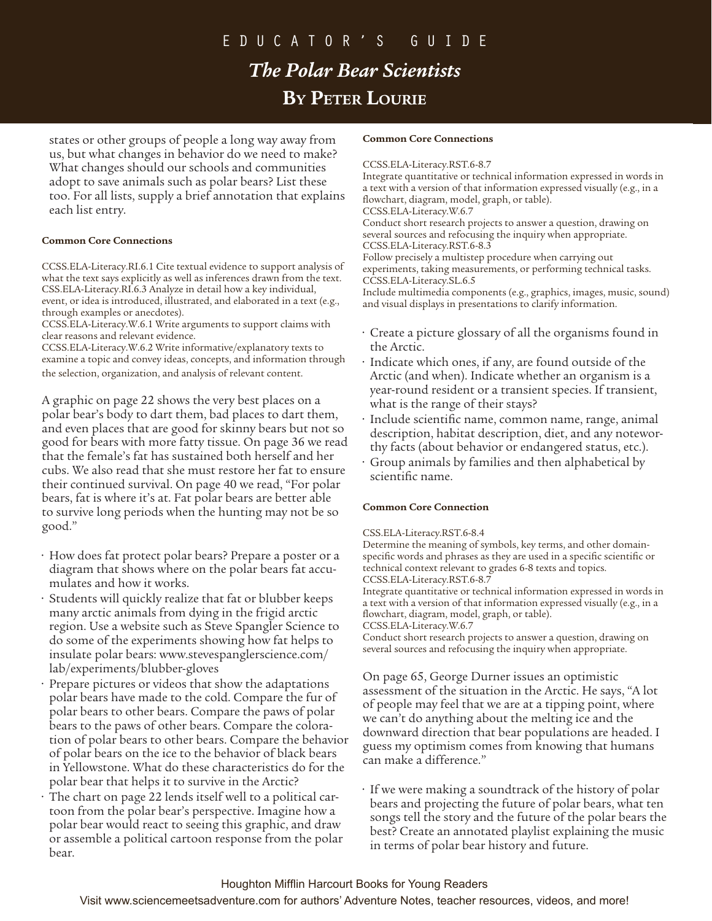# educator's Guide

# *The Polar Bear Scientists* **By Peter Lourie**

states or other groups of people a long way away from us, but what changes in behavior do we need to make? What changes should our schools and communities adopt to save animals such as polar bears? List these too. For all lists, supply a brief annotation that explains each list entry.

### **Common Core Connections**

CCSS.ELA-Literacy.RI.6.1 Cite textual evidence to support analysis of what the text says explicitly as well as inferences drawn from the text. CSS.ELA-Literacy.RI.6.3 Analyze in detail how a key individual, event, or idea is introduced, illustrated, and elaborated in a text (e.g., through examples or anecdotes).

CCSS.ELA-Literacy.W.6.1 Write arguments to support claims with clear reasons and relevant evidence.

CCSS.ELA-Literacy.W.6.2 Write informative/explanatory texts to examine a topic and convey ideas, concepts, and information through the selection, organization, and analysis of relevant content.

A graphic on page 22 shows the very best places on a polar bear's body to dart them, bad places to dart them, and even places that are good for skinny bears but not so good for bears with more fatty tissue. On page 36 we read that the female's fat has sustained both herself and her cubs. We also read that she must restore her fat to ensure their continued survival. On page 40 we read, "For polar bears, fat is where it's at. Fat polar bears are better able to survive long periods when the hunting may not be so good."

- How does fat protect polar bears? Prepare a poster or a diagram that shows where on the polar bears fat accumulates and how it works.
- Students will quickly realize that fat or blubber keeps many arctic animals from dying in the frigid arctic region. Use a website such as Steve Spangler Science to do some of the experiments showing how fat helps to insulate polar bears: www.stevespanglerscience.com/ lab/experiments/blubber-gloves
- Prepare pictures or videos that show the adaptations polar bears have made to the cold. Compare the fur of polar bears to other bears. Compare the paws of polar bears to the paws of other bears. Compare the coloration of polar bears to other bears. Compare the behavior of polar bears on the ice to the behavior of black bears in Yellowstone. What do these characteristics do for the polar bear that helps it to survive in the Arctic?
- The chart on page 22 lends itself well to a political cartoon from the polar bear's perspective. Imagine how a polar bear would react to seeing this graphic, and draw or assemble a political cartoon response from the polar bear.

#### **Common Core Connections**

#### CCSS.ELA-Literacy.RST.6-8.7

Integrate quantitative or technical information expressed in words in a text with a version of that information expressed visually (e.g., in a flowchart, diagram, model, graph, or table). CCSS.ELA-Literacy.W.6.7 Conduct short research projects to answer a question, drawing on several sources and refocusing the inquiry when appropriate. CCSS.ELA-Literacy.RST.6-8.3 Follow precisely a multistep procedure when carrying out experiments, taking measurements, or performing technical tasks. CCSS.ELA-Literacy.SL.6.5

Include multimedia components (e.g., graphics, images, music, sound) and visual displays in presentations to clarify information.

- Create a picture glossary of all the organisms found in the Arctic.
- Indicate which ones, if any, are found outside of the Arctic (and when). Indicate whether an organism is a year-round resident or a transient species. If transient, what is the range of their stays?
- Include scientific name, common name, range, animal description, habitat description, diet, and any noteworthy facts (about behavior or endangered status, etc.).
- Group animals by families and then alphabetical by scientific name.

### **Common Core Connection**

#### CSS.ELA-Literacy.RST.6-8.4

Determine the meaning of symbols, key terms, and other domainspecific words and phrases as they are used in a specific scientific or technical context relevant to grades 6-8 texts and topics. CCSS.ELA-Literacy.RST.6-8.7

Integrate quantitative or technical information expressed in words in a text with a version of that information expressed visually (e.g., in a flowchart, diagram, model, graph, or table). CCSS.ELA-Literacy.W.6.7

Conduct short research projects to answer a question, drawing on several sources and refocusing the inquiry when appropriate.

On page 65, George Durner issues an optimistic assessment of the situation in the Arctic. He says, "A lot of people may feel that we are at a tipping point, where we can't do anything about the melting ice and the downward direction that bear populations are headed. I guess my optimism comes from knowing that humans can make a difference."

• If we were making a soundtrack of the history of polar bears and projecting the future of polar bears, what ten songs tell the story and the future of the polar bears the best? Create an annotated playlist explaining the music in terms of polar bear history and future.

### Houghton Mifflin Harcourt Books for Young Readers